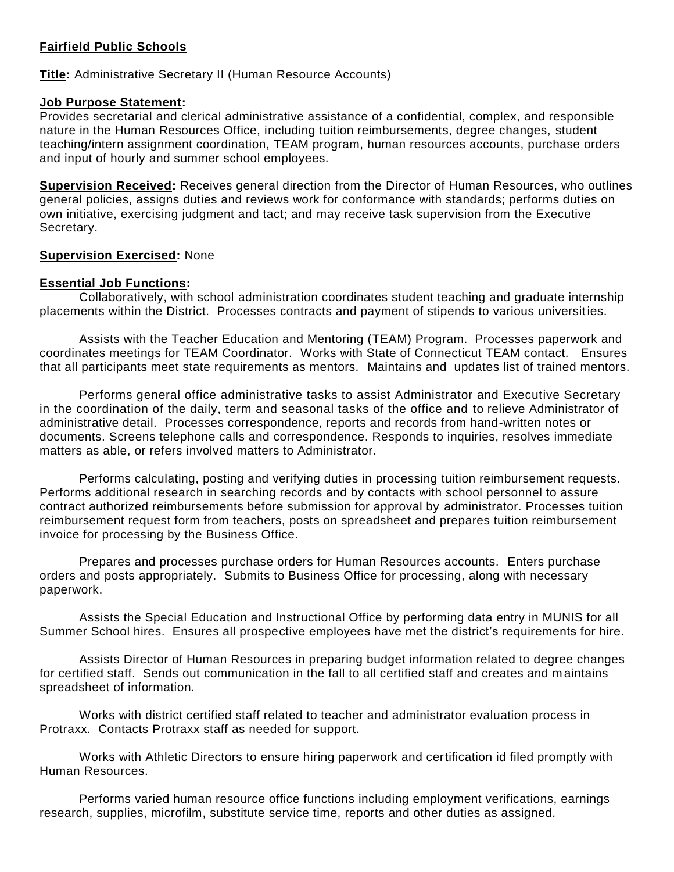#### **Fairfield Public Schools**

# **Title:** Administrative Secretary II (Human Resource Accounts)

#### **Job Purpose Statement:**

Provides secretarial and clerical administrative assistance of a confidential, complex, and responsible nature in the Human Resources Office, including tuition reimbursements, degree changes, student teaching/intern assignment coordination, TEAM program, human resources accounts, purchase orders and input of hourly and summer school employees.

**Supervision Received:** Receives general direction from the Director of Human Resources, who outlines general policies, assigns duties and reviews work for conformance with standards; performs duties on own initiative, exercising judgment and tact; and may receive task supervision from the Executive Secretary.

# **Supervision Exercised:** None

# **Essential Job Functions:**

Collaboratively, with school administration coordinates student teaching and graduate internship placements within the District. Processes contracts and payment of stipends to various universit ies.

Assists with the Teacher Education and Mentoring (TEAM) Program. Processes paperwork and coordinates meetings for TEAM Coordinator. Works with State of Connecticut TEAM contact. Ensures that all participants meet state requirements as mentors. Maintains and updates list of trained mentors.

Performs general office administrative tasks to assist Administrator and Executive Secretary in the coordination of the daily, term and seasonal tasks of the office and to relieve Administrator of administrative detail. Processes correspondence, reports and records from hand-written notes or documents. Screens telephone calls and correspondence. Responds to inquiries, resolves immediate matters as able, or refers involved matters to Administrator.

Performs calculating, posting and verifying duties in processing tuition reimbursement requests. Performs additional research in searching records and by contacts with school personnel to assure contract authorized reimbursements before submission for approval by administrator. Processes tuition reimbursement request form from teachers, posts on spreadsheet and prepares tuition reimbursement invoice for processing by the Business Office.

Prepares and processes purchase orders for Human Resources accounts. Enters purchase orders and posts appropriately. Submits to Business Office for processing, along with necessary paperwork.

Assists the Special Education and Instructional Office by performing data entry in MUNIS for all Summer School hires. Ensures all prospective employees have met the district's requirements for hire.

Assists Director of Human Resources in preparing budget information related to degree changes for certified staff. Sends out communication in the fall to all certified staff and creates and maintains spreadsheet of information.

Works with district certified staff related to teacher and administrator evaluation process in Protraxx. Contacts Protraxx staff as needed for support.

Works with Athletic Directors to ensure hiring paperwork and certification id filed promptly with Human Resources.

Performs varied human resource office functions including employment verifications, earnings research, supplies, microfilm, substitute service time, reports and other duties as assigned.